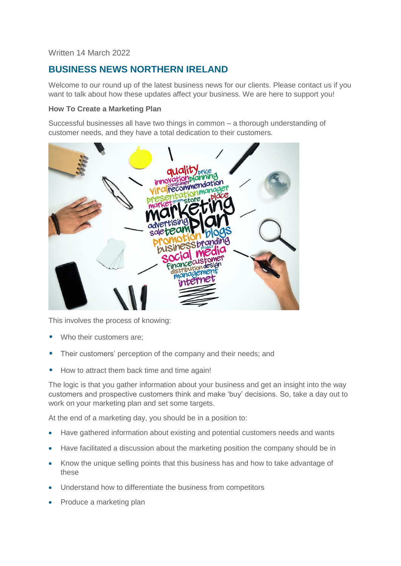# Written 14 March 2022

# **BUSINESS NEWS NORTHERN IRELAND**

Welcome to our round up of the latest business news for our clients. Please contact us if you want to talk about how these updates affect your business. We are here to support you!

#### **How To Create a Marketing Plan**

Successful businesses all have two things in common – a thorough understanding of customer needs, and they have a total dedication to their customers.



This involves the process of knowing:

- Who their customers are:
- Their customers' perception of the company and their needs; and
- How to attract them back time and time again!

The logic is that you gather information about your business and get an insight into the way customers and prospective customers think and make 'buy' decisions. So, take a day out to work on your marketing plan and set some targets.

At the end of a marketing day, you should be in a position to:

- Have gathered information about existing and potential customers needs and wants
- Have facilitated a discussion about the marketing position the company should be in
- Know the unique selling points that this business has and how to take advantage of these
- Understand how to differentiate the business from competitors
- Produce a marketing plan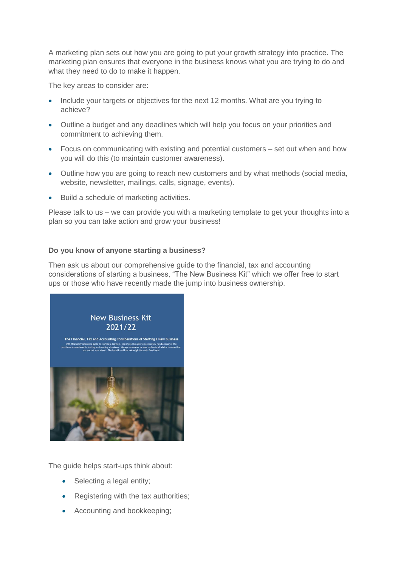A marketing plan sets out how you are going to put your growth strategy into practice. The marketing plan ensures that everyone in the business knows what you are trying to do and what they need to do to make it happen.

The key areas to consider are:

- Include your targets or objectives for the next 12 months. What are you trying to achieve?
- Outline a budget and any deadlines which will help you focus on your priorities and commitment to achieving them.
- Focus on communicating with existing and potential customers set out when and how you will do this (to maintain customer awareness).
- Outline how you are going to reach new customers and by what methods (social media, website, newsletter, mailings, calls, signage, events).
- Build a schedule of marketing activities.

Please talk to us – we can provide you with a marketing template to get your thoughts into a plan so you can take action and grow your business!

## **Do you know of anyone starting a business?**

Then ask us about our comprehensive guide to the financial, tax and accounting considerations of starting a business, "The New Business Kit" which we offer free to start ups or those who have recently made the jump into business ownership.



The guide helps start-ups think about:

- Selecting a legal entity;
- Registering with the tax authorities;
- Accounting and bookkeeping;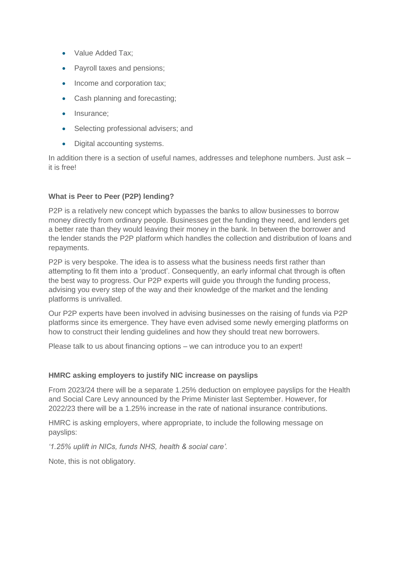- Value Added Tax;
- Payroll taxes and pensions;
- Income and corporation tax;
- Cash planning and forecasting;
- Insurance;
- Selecting professional advisers; and
- Digital accounting systems.

In addition there is a section of useful names, addresses and telephone numbers. Just ask – it is free!

## **What is Peer to Peer (P2P) lending?**

P2P is a relatively new concept which bypasses the banks to allow businesses to borrow money directly from ordinary people. Businesses get the funding they need, and lenders get a better rate than they would leaving their money in the bank. In between the borrower and the lender stands the P2P platform which handles the collection and distribution of loans and repayments.

P2P is very bespoke. The idea is to assess what the business needs first rather than attempting to fit them into a 'product'. Consequently, an early informal chat through is often the best way to progress. Our P2P experts will guide you through the funding process, advising you every step of the way and their knowledge of the market and the lending platforms is unrivalled.

Our P2P experts have been involved in advising businesses on the raising of funds via P2P platforms since its emergence. They have even advised some newly emerging platforms on how to construct their lending guidelines and how they should treat new borrowers.

Please talk to us about financing options – we can introduce you to an expert!

## **HMRC asking employers to justify NIC increase on payslips**

From 2023/24 there will be a separate 1.25% deduction on employee payslips for the Health and Social Care Levy announced by the Prime Minister last September. However, for 2022/23 there will be a 1.25% increase in the rate of national insurance contributions.

HMRC is asking employers, where appropriate, to include the following message on payslips:

*'1.25% uplift in NICs, funds NHS, health & social care'.*

Note, this is not obligatory.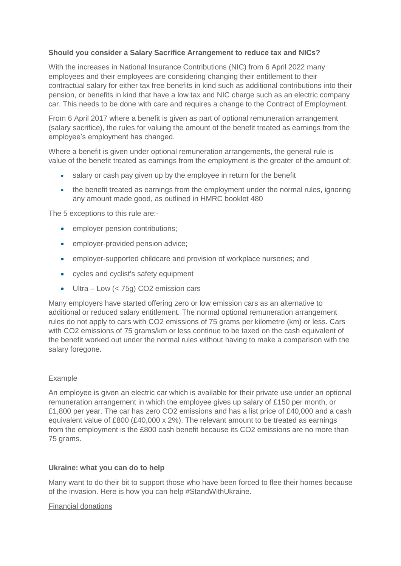# **Should you consider a Salary Sacrifice Arrangement to reduce tax and NICs?**

With the increases in National Insurance Contributions (NIC) from 6 April 2022 many employees and their employees are considering changing their entitlement to their contractual salary for either tax free benefits in kind such as additional contributions into their pension, or benefits in kind that have a low tax and NIC charge such as an electric company car. This needs to be done with care and requires a change to the Contract of Employment.

From 6 April 2017 where a benefit is given as part of optional remuneration arrangement (salary sacrifice), the rules for valuing the amount of the benefit treated as earnings from the employee's employment has changed.

Where a benefit is given under optional remuneration arrangements, the general rule is value of the benefit treated as earnings from the employment is the greater of the amount of:

- salary or cash pay given up by the employee in return for the benefit
- the benefit treated as earnings from the employment under the normal rules, ignoring any amount made good, as outlined in HMRC booklet 480

The 5 exceptions to this rule are:-

- employer pension contributions:
- **•** employer-provided pension advice:
- employer-supported childcare and provision of workplace nurseries; and
- cycles and cyclist's safety equipment
- Ultra Low (< 75g) CO2 emission cars

Many employers have started offering zero or low emission cars as an alternative to additional or reduced salary entitlement. The normal optional remuneration arrangement rules do not apply to cars with CO2 emissions of 75 grams per kilometre (km) or less. Cars with CO2 emissions of 75 grams/km or less continue to be taxed on the cash equivalent of the benefit worked out under the normal rules without having to make a comparison with the salary foregone.

## Example

An employee is given an electric car which is available for their private use under an optional remuneration arrangement in which the employee gives up salary of £150 per month, or £1,800 per year. The car has zero CO2 emissions and has a list price of £40,000 and a cash equivalent value of  $£800$   $(E40,000 \times 2\%)$ . The relevant amount to be treated as earnings from the employment is the £800 cash benefit because its CO2 emissions are no more than 75 grams.

## **Ukraine: what you can do to help**

Many want to do their bit to support those who have been forced to flee their homes because of the invasion. Here is how you can help #StandWithUkraine.

#### Financial donations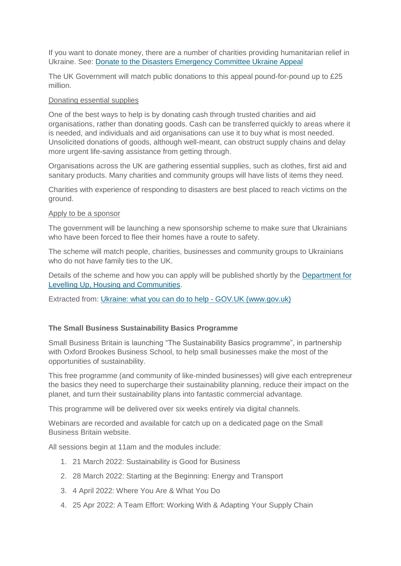If you want to donate money, there are a number of charities providing humanitarian relief in Ukraine. See: [Donate to the Disasters Emergency Committee Ukraine Appeal](https://donation.dec.org.uk/ukraine-humanitarian-appeal)

The UK Government will match public donations to this appeal pound-for-pound up to £25 million.

#### Donating essential supplies

One of the best ways to help is by donating cash through trusted charities and aid organisations, rather than donating goods. Cash can be transferred quickly to areas where it is needed, and individuals and aid organisations can use it to buy what is most needed. Unsolicited donations of goods, although well-meant, can obstruct supply chains and delay more urgent life-saving assistance from getting through.

Organisations across the UK are gathering essential supplies, such as clothes, first aid and sanitary products. Many charities and community groups will have lists of items they need.

Charities with experience of responding to disasters are best placed to reach victims on the ground.

#### Apply to be a sponsor

The government will be launching a new sponsorship scheme to make sure that Ukrainians who have been forced to flee their homes have a route to safety.

The scheme will match people, charities, businesses and community groups to Ukrainians who do not have family ties to the UK.

Details of the scheme and how you can apply will be published shortly by the [Department for](https://www.gov.uk/government/organisations/department-for-levelling-up-housing-and-communities)  [Levelling Up, Housing and Communities.](https://www.gov.uk/government/organisations/department-for-levelling-up-housing-and-communities)

Extracted from: [Ukraine: what you can do to help -](https://www.gov.uk/government/news/ukraine-what-you-can-do-to-help) GOV.UK (www.gov.uk)

## **The Small Business Sustainability Basics Programme**

Small Business Britain is launching "The Sustainability Basics programme", in partnership with Oxford Brookes Business School, to help small businesses make the most of the opportunities of sustainability.

This free programme (and community of like-minded businesses) will give each entrepreneur the basics they need to supercharge their sustainability planning, reduce their impact on the planet, and turn their sustainability plans into fantastic commercial advantage.

This programme will be delivered over six weeks entirely via digital channels.

Webinars are recorded and available for catch up on a dedicated page on the Small Business Britain website.

All sessions begin at 11am and the modules include:

- 1. 21 March 2022: Sustainability is Good for Business
- 2. 28 March 2022: Starting at the Beginning: Energy and Transport
- 3. 4 April 2022: Where You Are & What You Do
- 4. 25 Apr 2022: A Team Effort: Working With & Adapting Your Supply Chain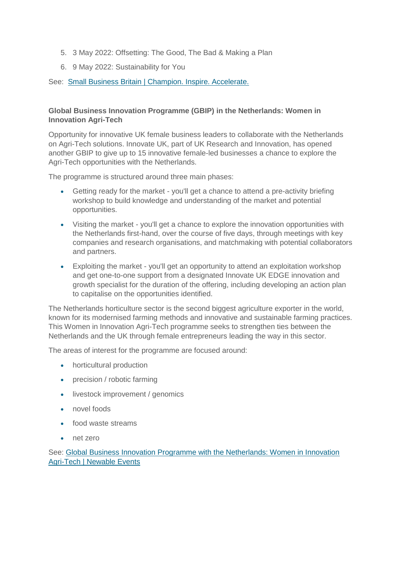- 5. 3 May 2022: Offsetting: The Good, The Bad & Making a Plan
- 6. 9 May 2022: Sustainability for You

See: [Small Business Britain | Champion. Inspire. Accelerate.](https://smallbusinessbritain.uk/)

# **Global Business Innovation Programme (GBIP) in the Netherlands: Women in Innovation Agri-Tech**

Opportunity for innovative UK female business leaders to collaborate with the Netherlands on Agri-Tech solutions. Innovate UK, part of UK Research and Innovation, has opened another GBIP to give up to 15 innovative female-led businesses a chance to explore the Agri-Tech opportunities with the Netherlands.

The programme is structured around three main phases:

- Getting ready for the market you'll get a chance to attend a pre-activity briefing workshop to build knowledge and understanding of the market and potential opportunities.
- Visiting the market you'll get a chance to explore the innovation opportunities with the Netherlands first-hand, over the course of five days, through meetings with key companies and research organisations, and matchmaking with potential collaborators and partners.
- Exploiting the market you'll get an opportunity to attend an exploitation workshop and get one-to-one support from a designated Innovate UK EDGE innovation and growth specialist for the duration of the offering, including developing an action plan to capitalise on the opportunities identified.

The Netherlands horticulture sector is the second biggest agriculture exporter in the world, known for its modernised farming methods and innovative and sustainable farming practices. This Women in Innovation Agri-Tech programme seeks to strengthen ties between the Netherlands and the UK through female entrepreneurs leading the way in this sector.

The areas of interest for the programme are focused around:

- horticultural production
- precision / robotic farming
- livestock improvement / genomics
- novel foods
- food waste streams
- net zero

See: [Global Business Innovation Programme with the Netherlands: Women in Innovation](https://events.newable.co.uk/events/878/global-business-innovation-programme-to-the-netherlands-women-in-innovation-agri-tech)  [Agri-Tech | Newable Events](https://events.newable.co.uk/events/878/global-business-innovation-programme-to-the-netherlands-women-in-innovation-agri-tech)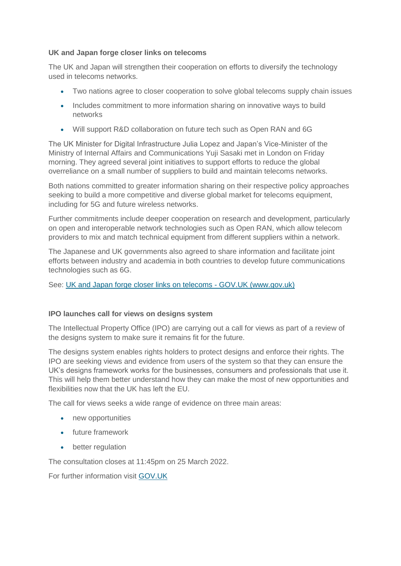## **UK and Japan forge closer links on telecoms**

The UK and Japan will strengthen their cooperation on efforts to diversify the technology used in telecoms networks.

- Two nations agree to closer cooperation to solve global telecoms supply chain issues
- Includes commitment to more information sharing on innovative ways to build networks
- Will support R&D collaboration on future tech such as Open RAN and 6G

The UK Minister for Digital Infrastructure Julia Lopez and Japan's Vice-Minister of the Ministry of Internal Affairs and Communications Yuji Sasaki met in London on Friday morning. They agreed several joint initiatives to support efforts to reduce the global overreliance on a small number of suppliers to build and maintain telecoms networks.

Both nations committed to greater information sharing on their respective policy approaches seeking to build a more competitive and diverse global market for telecoms equipment, including for 5G and future wireless networks.

Further commitments include deeper cooperation on research and development, particularly on open and interoperable network technologies such as Open RAN, which allow telecom providers to mix and match technical equipment from different suppliers within a network.

The Japanese and UK governments also agreed to share information and facilitate joint efforts between industry and academia in both countries to develop future communications technologies such as 6G.

See: [UK and Japan forge closer links on telecoms -](https://www.gov.uk/government/news/uk-and-japan-forge-closer-links-on-telecoms) GOV.UK (www.gov.uk)

# **IPO launches call for views on designs system**

The Intellectual Property Office (IPO) are carrying out a call for views as part of a review of the designs system to make sure it remains fit for the future.

The designs system enables rights holders to protect designs and enforce their rights. The IPO are seeking views and evidence from users of the system so that they can ensure the UK's designs framework works for the businesses, consumers and professionals that use it. This will help them better understand how they can make the most of new opportunities and flexibilities now that the UK has left the EU.

The call for views seeks a wide range of evidence on three main areas:

- new opportunities
- **future framework**
- better regulation

The consultation closes at 11:45pm on 25 March 2022.

For further information visit [GOV.UK](https://www.gov.uk/government/consultations/reviewing-the-designs-framework-call-for-views)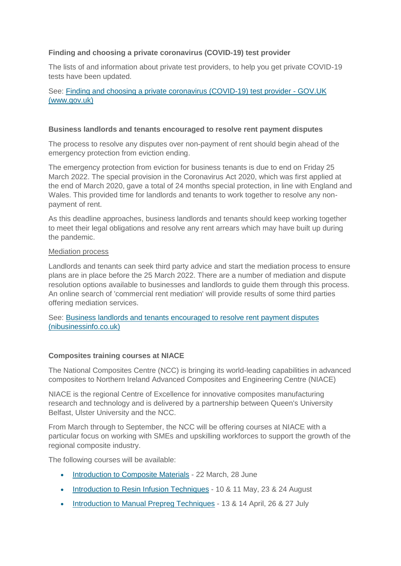# **Finding and choosing a private coronavirus (COVID-19) test provider**

The lists of and information about private test providers, to help you get private COVID-19 tests have been updated.

See: [Finding and choosing a private coronavirus \(COVID-19\) test provider -](https://www.gov.uk/government/publications/list-of-private-providers-of-coronavirus-testing?utm_medium=email&utm_campaign=govuk-notifications-topic&utm_source=ec584555-fef4-4258-8659-93c1271d6ca0&utm_content=daily) GOV.UK [\(www.gov.uk\)](https://www.gov.uk/government/publications/list-of-private-providers-of-coronavirus-testing?utm_medium=email&utm_campaign=govuk-notifications-topic&utm_source=ec584555-fef4-4258-8659-93c1271d6ca0&utm_content=daily)

#### **Business landlords and tenants encouraged to resolve rent payment disputes**

The process to resolve any disputes over non-payment of rent should begin ahead of the emergency protection from eviction ending.

The emergency protection from eviction for business tenants is due to end on Friday 25 March 2022. The special provision in the Coronavirus Act 2020, which was first applied at the end of March 2020, gave a total of 24 months special protection, in line with England and Wales. This provided time for landlords and tenants to work together to resolve any nonpayment of rent.

As this deadline approaches, business landlords and tenants should keep working together to meet their legal obligations and resolve any rent arrears which may have built up during the pandemic.

#### Mediation process

Landlords and tenants can seek third party advice and start the mediation process to ensure plans are in place before the 25 March 2022. There are a number of mediation and dispute resolution options available to businesses and landlords to guide them through this process. An online search of 'commercial rent mediation' will provide results of some third parties offering mediation services.

See: [Business landlords and tenants encouraged to resolve rent payment disputes](https://www.nibusinessinfo.co.uk/content/business-landlords-and-tenants-encouraged-resolve-rent-payment-disputes)  [\(nibusinessinfo.co.uk\)](https://www.nibusinessinfo.co.uk/content/business-landlords-and-tenants-encouraged-resolve-rent-payment-disputes)

## **Composites training courses at NIACE**

The National Composites Centre (NCC) is bringing its world-leading capabilities in advanced composites to Northern Ireland Advanced Composites and Engineering Centre (NIACE)

NIACE is the regional Centre of Excellence for innovative composites manufacturing research and technology and is delivered by a partnership between Queen's University Belfast, Ulster University and the NCC.

From March through to September, the NCC will be offering courses at NIACE with a particular focus on working with SMEs and upskilling workforces to support the growth of the regional composite industry.

The following courses will be available:

- [Introduction to Composite Materials](https://www.nccuk.com/training/new-introduction-to-composites/) 22 March, 28 June
- [Introduction to Resin Infusion Techniques](https://www.nccuk.com/training/new-introduction-to-resin-infusion-techniques/) 10 & 11 May, 23 & 24 August
- [Introduction to Manual Prepreg Techniques](https://www.nccuk.com/training/introduction-to-manual-prepreg-techniques-new/) 13 & 14 April, 26 & 27 July